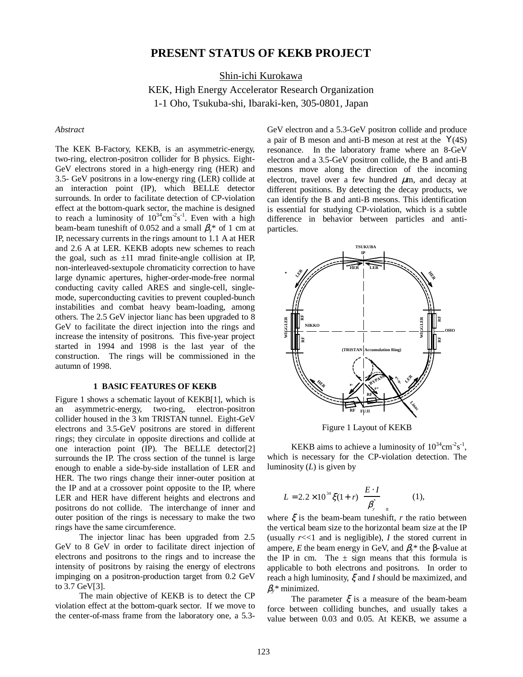# **PRESENT STATUS OF KEKB PROJECT**

Shin-ichi Kurokawa

KEK, High Energy Accelerator Research Organization 1-1 Oho, Tsukuba-shi, Ibaraki-ken, 305-0801, Japan

#### *Abstract*

The KEK B-Factory, KEKB, is an asymmetric-energy, two-ring, electron-positron collider for B physics. Eight-GeV electrons stored in a high-energy ring (HER) and 3.5- GeV positrons in a low-energy ring (LER) collide at an interaction point (IP), which BELLE detector surrounds. In order to facilitate detection of CP-violation effect at the bottom-quark sector, the machine is designed to reach a luminosity of  $10^{34}$ cm<sup>-2</sup>s<sup>-1</sup>. Even with a high beam-beam tuneshift of 0.052 and a small  $\beta_{v}$ <sup>\*</sup> of 1 cm at IP, necessary currents in the rings amount to 1.1 A at HER and 2.6 A at LER. KEKB adopts new schemes to reach the goal, such as  $\pm 11$  mrad finite-angle collision at IP, non-interleaved-sextupole chromaticity correction to have large dynamic apertures, higher-order-mode-free normal conducting cavity called ARES and single-cell, singlemode, superconducting cavities to prevent coupled-bunch instabilities and combat heavy beam-loading, among others. The 2.5 GeV injector lianc has been upgraded to 8 GeV to facilitate the direct injection into the rings and increase the intensity of positrons. This five-year project started in 1994 and 1998 is the last year of the construction. The rings will be commissioned in the autumn of 1998.

## **1 BASIC FEATURES OF KEKB**

Figure 1 shows a schematic layout of KEKB[1], which is an asymmetric-energy, two-ring, electron-positron collider housed in the 3 km TRISTAN tunnel. Eight-GeV electrons and 3.5-GeV positrons are stored in different rings; they circulate in opposite directions and collide at one interaction point (IP). The BELLE detector[2] surrounds the IP. The cross section of the tunnel is large enough to enable a side-by-side installation of LER and HER. The two rings change their inner-outer position at the IP and at a crossover point opposite to the IP, where LER and HER have different heights and electrons and positrons do not collide. The interchange of inner and outer position of the rings is necessary to make the two rings have the same circumference.

The injector linac has been upgraded from 2.5 GeV to 8 GeV in order to facilitate direct injection of electrons and positrons to the rings and to increase the intensity of positrons by raising the energy of electrons impinging on a positron-production target from 0.2 GeV to 3.7 GeV[3].

The main objective of KEKB is to detect the CP violation effect at the bottom-quark sector. If we move to the center-of-mass frame from the laboratory one, a 5.3GeV electron and a 5.3-GeV positron collide and produce a pair of B meson and anti-B meson at rest at the Υ(4S) resonance. In the laboratory frame where an 8-GeV electron and a 3.5-GeV positron collide, the B and anti-B mesons move along the direction of the incoming electron, travel over a few hundred  $\mu$ m, and decay at different positions. By detecting the decay products, we can identify the B and anti-B mesons. This identification is essential for studying CP-violation, which is a subtle difference in behavior between particles and antiparticles.



Figure 1 Layout of KEKB

KEKB aims to achieve a luminosity of  $10^{34}$ cm<sup>-2</sup>s<sup>-1</sup>, which is necessary for the CP-violation detection. The luminosity (*L*) is given by

$$
L = 2.2 \times 10^{34} \xi (1+r) \left( \frac{E \cdot I}{\beta_{y}} \right)_{\pm}
$$
 (1),

where  $\xi$  is the beam-beam tuneshift, *r* the ratio between the vertical beam size to the horizontal beam size at the IP (usually  $r \ll 1$  and is negligible),  $I$  the stored current in ampere, *E* the beam energy in GeV, and  $\beta$ <sup>\*</sup> the β-value at the IP in cm. The  $\pm$  sign means that this formula is applicable to both electrons and positrons. In order to reach a high luminosity, ξ and *I* should be maximized, and β*y\** minimized.

The parameter  $\xi$  is a measure of the beam-beam force between colliding bunches, and usually takes a value between 0.03 and 0.05. At KEKB, we assume a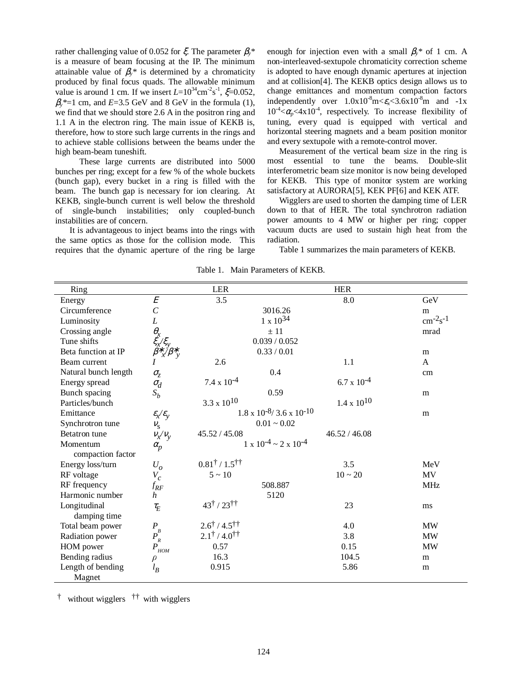rather challenging value of 0.052 for ξ. The parameter β*y\** is a measure of beam focusing at the IP. The minimum attainable value of  $\beta_{y}$ <sup>\*</sup> is determined by a chromaticity produced by final focus quads. The allowable minimum value is around 1 cm. If we insert  $L = 10^{34}$ cm<sup>-2</sup>s<sup>-1</sup>,  $\xi = 0.052$ ,  $\beta_{v}$ <sup>\*</sup>=1 cm, and *E*=3.5 GeV and 8 GeV in the formula (1), we find that we should store 2.6 A in the positron ring and 1.1 A in the electron ring. The main issue of KEKB is, therefore, how to store such large currents in the rings and to achieve stable collisions between the beams under the high beam-beam tuneshift.

These large currents are distributed into 5000 bunches per ring; except for a few % of the whole buckets (bunch gap), every bucket in a ring is filled with the beam. The bunch gap is necessary for ion clearing. At KEKB, single-bunch current is well below the threshold of single-bunch instabilities; only coupled-bunch instabilities are of concern.

 It is advantageous to inject beams into the rings with the same optics as those for the collision mode. This requires that the dynamic aperture of the ring be large enough for injection even with a small  $\beta$ <sup>\*</sup> of 1 cm. A non-interleaved-sextupole chromaticity correction scheme is adopted to have enough dynamic apertures at injection and at collision[4]. The KEKB optics design allows us to change emittances and momentum compaction factors independently over  $1.0x10^{-8}$ m $\leq \epsilon \leq 3.6x10^{-8}$ m and  $-1x$  $10^{-4} < \alpha_p < 4 \times 10^{-4}$ , respectively. To increase flexibility of tuning, every quad is equipped with vertical and horizontal steering magnets and a beam position monitor and every sextupole with a remote-control mover.

Measurement of the vertical beam size in the ring is most essential to tune the beams. Double-slit interferometric beam size monitor is now being developed for KEKB. This type of monitor system are working satisfactory at AURORA[5], KEK PF[6] and KEK ATF.

Wigglers are used to shorten the damping time of LER down to that of HER. The total synchrotron radiation power amounts to 4 MW or higher per ring; copper vacuum ducts are used to sustain high heat from the radiation.

Table 1 summarizes the main parameters of KEKB.

| Ring                 |                                                                                                                                  | <b>LER</b>                                |                                            | <b>HER</b>           |                 |
|----------------------|----------------------------------------------------------------------------------------------------------------------------------|-------------------------------------------|--------------------------------------------|----------------------|-----------------|
| Energy               | $\cal E$                                                                                                                         | 3.5                                       |                                            | 8.0                  | GeV             |
| Circumference        | $\overline{C}$                                                                                                                   |                                           | 3016.26                                    |                      | m               |
| Luminosity           | $\cal L$                                                                                                                         |                                           | $1 \times 10^{34}$                         |                      | $cm^{-2}s^{-1}$ |
| Crossing angle       |                                                                                                                                  |                                           | ± 11                                       |                      | mrad            |
| Tune shifts          |                                                                                                                                  |                                           | 0.039 / 0.052                              |                      |                 |
| Beta function at IP  | $\theta$ <sub>x</sub><br>$\xi$ <sub>x</sub> / $\xi$ <sub>y</sub><br>$\beta$ <sup>*</sup> <sub>x</sub> / $\beta$<br>$\mathcal{V}$ | 0.33 / 0.01                               |                                            |                      | m               |
| Beam current         |                                                                                                                                  | 2.6                                       |                                            | 1.1                  | A               |
| Natural bunch length | $\sigma_{\!\scriptscriptstyle\zeta}$                                                                                             |                                           | 0.4                                        |                      | cm              |
| Energy spread        | $\sigma_d$                                                                                                                       | $7.4 \times 10^{-4}$                      |                                            | $6.7 \times 10^{-4}$ |                 |
| Bunch spacing        | $S_b$                                                                                                                            |                                           | 0.59                                       |                      | m               |
| Particles/bunch      |                                                                                                                                  | $3.3 \times 10^{10}$                      |                                            | $1.4 \times 10^{10}$ |                 |
| Emittance            | $\varepsilon_{\! \chi} \! / \varepsilon_{\! \! \chi}$                                                                            |                                           | $1.8 \times 10^{-8} / 3.6 \times 10^{-10}$ |                      | m               |
| Synchrotron tune     | $V_{\rm S}$                                                                                                                      | $0.01 - 0.02$                             |                                            |                      |                 |
| <b>Betatron</b> tune | $V_\chi / V_\mathrm{V}$                                                                                                          | 45.52 / 45.08                             |                                            | 46.52 / 46.08        |                 |
| Momentum             | $\alpha_p$                                                                                                                       |                                           | $1 \times 10^{-4} \sim 2 \times 10^{-4}$   |                      |                 |
| compaction factor    |                                                                                                                                  |                                           |                                            |                      |                 |
| Energy loss/turn     | $U_o$                                                                                                                            | $0.81^{\dagger}$ / $1.5^{\dagger\dagger}$ |                                            | 3.5                  | MeV             |
| RF voltage           | $V_c$                                                                                                                            | $5 \sim 10$                               |                                            | $10 - 20$            | MV              |
| RF frequency         | $f_{\pmb{RF}}$                                                                                                                   |                                           | 508.887                                    |                      | <b>MHz</b>      |
| Harmonic number      | $\boldsymbol{h}$                                                                                                                 |                                           | 5120                                       |                      |                 |
| Longitudinal         | $\tau_E$                                                                                                                         | $43^{\dagger}$ / $23^{\dagger\dagger}$    |                                            | 23                   | ms              |
| damping time         |                                                                                                                                  |                                           |                                            |                      |                 |
| Total beam power     |                                                                                                                                  | $2.6^{\dagger}$ / 4.5 <sup>††</sup>       |                                            | 4.0                  | <b>MW</b>       |
| Radiation power      | $P_B^B$                                                                                                                          | $2.1^{\dagger}$ / 4.0 <sup>††</sup>       |                                            | 3.8                  | <b>MW</b>       |
| HOM power            | $\boldsymbol{P}$<br><b>HOM</b>                                                                                                   | 0.57                                      |                                            | 0.15                 | MW              |
| Bending radius       | $\rho$                                                                                                                           | 16.3                                      |                                            | 104.5                | m               |
| Length of bending    | $l_B$                                                                                                                            | 0.915                                     |                                            | 5.86                 | m               |
| Magnet               |                                                                                                                                  |                                           |                                            |                      |                 |

Table 1. Main Parameters of KEKB.

† without wigglers †† with wigglers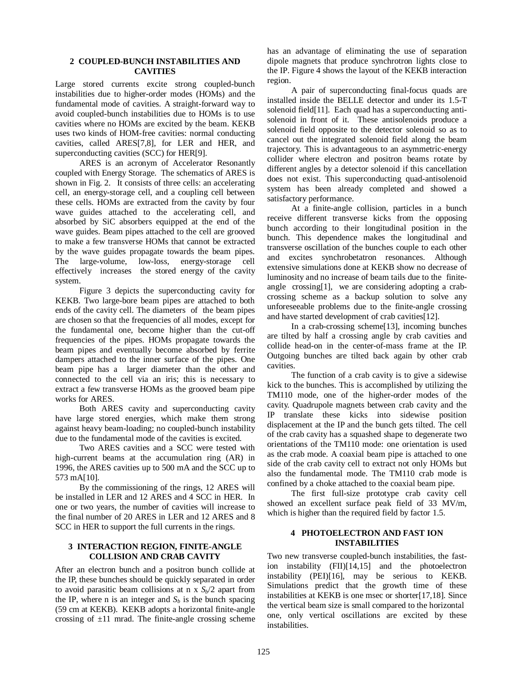## **2 COUPLED-BUNCH INSTABILITIES AND CAVITIES**

Large stored currents excite strong coupled-bunch instabilities due to higher-order modes (HOMs) and the fundamental mode of cavities. A straight-forward way to avoid coupled-bunch instabilities due to HOMs is to use cavities where no HOMs are excited by the beam. KEKB uses two kinds of HOM-free cavities: normal conducting cavities, called ARES[7,8], for LER and HER, and superconducting cavities (SCC) for HER[9].

ARES is an acronym of Accelerator Resonantly coupled with Energy Storage. The schematics of ARES is shown in Fig. 2. It consists of three cells: an accelerating cell, an energy-storage cell, and a coupling cell between these cells. HOMs are extracted from the cavity by four wave guides attached to the accelerating cell, and absorbed by SiC absorbers equipped at the end of the wave guides. Beam pipes attached to the cell are grooved to make a few transverse HOMs that cannot be extracted by the wave guides propagate towards the beam pipes. The large-volume, low-loss, energy-storage cell effectively increases the stored energy of the cavity system.

Figure 3 depicts the superconducting cavity for KEKB. Two large-bore beam pipes are attached to both ends of the cavity cell. The diameters of the beam pipes are chosen so that the frequencies of all modes, except for the fundamental one, become higher than the cut-off frequencies of the pipes. HOMs propagate towards the beam pipes and eventually become absorbed by ferrite dampers attached to the inner surface of the pipes. One beam pipe has a larger diameter than the other and connected to the cell via an iris; this is necessary to extract a few transverse HOMs as the grooved beam pipe works for ARES.

Both ARES cavity and superconducting cavity have large stored energies, which make them strong against heavy beam-loading; no coupled-bunch instability due to the fundamental mode of the cavities is excited.

Two ARES cavities and a SCC were tested with high-current beams at the accumulation ring (AR) in 1996, the ARES cavities up to 500 mA and the SCC up to 573 mA[10].

By the commissioning of the rings, 12 ARES will be installed in LER and 12 ARES and 4 SCC in HER. In one or two years, the number of cavities will increase to the final number of 20 ARES in LER and 12 ARES and 8 SCC in HER to support the full currents in the rings.

## **3 INTERACTION REGION, FINITE-ANGLE COLLISION AND CRAB CAVITY**

After an electron bunch and a positron bunch collide at the IP, these bunches should be quickly separated in order to avoid parasitic beam collisions at n x  $S_b/2$  apart from the IP, where n is an integer and  $S_b$  is the bunch spacing (59 cm at KEKB). KEKB adopts a horizontal finite-angle crossing of  $\pm 11$  mrad. The finite-angle crossing scheme has an advantage of eliminating the use of separation dipole magnets that produce synchrotron lights close to the IP. Figure 4 shows the layout of the KEKB interaction region.

A pair of superconducting final-focus quads are installed inside the BELLE detector and under its 1.5-T solenoid field<sup>[11]</sup>. Each quad has a superconducting antisolenoid in front of it. These antisolenoids produce a solenoid field opposite to the detector solenoid so as to cancel out the integrated solenoid field along the beam trajectory. This is advantageous to an asymmetric-energy collider where electron and positron beams rotate by different angles by a detector solenoid if this cancellation does not exist. This superconducting quad-antisolenoid system has been already completed and showed a satisfactory performance.

At a finite-angle collision, particles in a bunch receive different transverse kicks from the opposing bunch according to their longitudinal position in the bunch. This dependence makes the longitudinal and transverse oscillation of the bunches couple to each other and excites synchrobetatron resonances. Although extensive simulations done at KEKB show no decrease of luminosity and no increase of beam tails due to the finiteangle crossing[1], we are considering adopting a crabcrossing scheme as a backup solution to solve any unforeseeable problems due to the finite-angle crossing and have started development of crab cavities[12].

In a crab-crossing scheme[13], incoming bunches are tilted by half a crossing angle by crab cavities and collide head-on in the center-of-mass frame at the IP. Outgoing bunches are tilted back again by other crab cavities.

The function of a crab cavity is to give a sidewise kick to the bunches. This is accomplished by utilizing the TM110 mode, one of the higher-order modes of the cavity. Quadrupole magnets between crab cavity and the IP translate these kicks into sidewise position displacement at the IP and the bunch gets tilted. The cell of the crab cavity has a squashed shape to degenerate two orientations of the TM110 mode: one orientation is used as the crab mode. A coaxial beam pipe is attached to one side of the crab cavity cell to extract not only HOMs but also the fundamental mode. The TM110 crab mode is confined by a choke attached to the coaxial beam pipe.

The first full-size prototype crab cavity cell showed an excellent surface peak field of 33 MV/m, which is higher than the required field by factor 1.5.

## **4 PHOTOELECTRON AND FAST ION INSTABILITIES**

Two new transverse coupled-bunch instabilities, the fastion instability (FII)[14,15] and the photoelectron instability (PEI)[16], may be serious to KEKB. Simulations predict that the growth time of these instabilities at KEKB is one msec or shorter[17,18]. Since the vertical beam size is small compared to the horizontal one, only vertical oscillations are excited by these instabilities.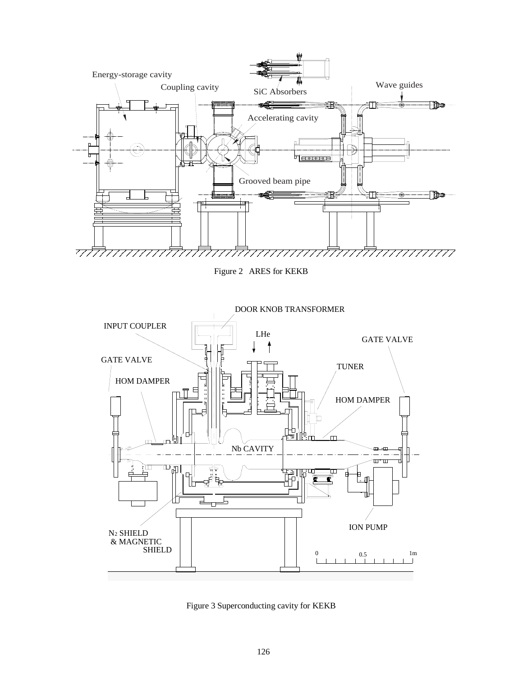

Figure 2 ARES for KEKB



Figure 3 Superconducting cavity for KEKB